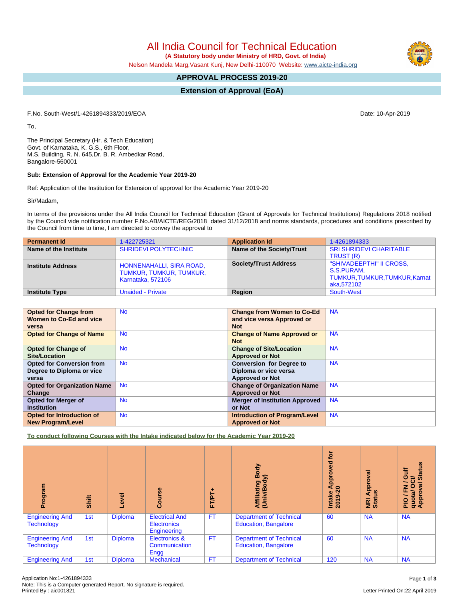All India Council for Technical Education

 **(A Statutory body under Ministry of HRD, Govt. of India)**

Nelson Mandela Marg,Vasant Kunj, New Delhi-110070 Website: [www.aicte-india.org](http://www.aicte-india.org)

# **APPROVAL PROCESS 2019-20**

## **Extension of Approval (EoA)**

F.No. South-West/1-4261894333/2019/EOA Date: 10-Apr-2019

To,

The Principal Secretary (Hr. & Tech Education) Govt. of Karnataka, K. G.S., 6th Floor, M.S. Building, R. N. 645,Dr. B. R. Ambedkar Road, Bangalore-560001

### **Sub: Extension of Approval for the Academic Year 2019-20**

Ref: Application of the Institution for Extension of approval for the Academic Year 2019-20

Sir/Madam,

In terms of the provisions under the All India Council for Technical Education (Grant of Approvals for Technical Institutions) Regulations 2018 notified by the Council vide notification number F.No.AB/AICTE/REG/2018 dated 31/12/2018 and norms standards, procedures and conditions prescribed by the Council from time to time, I am directed to convey the approval to

| <b>Permanent Id</b>      | 1-422725321                                                              | <b>Application Id</b>        | 1-4261894333                                                                           |
|--------------------------|--------------------------------------------------------------------------|------------------------------|----------------------------------------------------------------------------------------|
| Name of the Institute    | <b>SHRIDEVI POLYTECHNIC</b>                                              | Name of the Society/Trust    | <b>SRI SHRIDEVI CHARITABLE</b><br>TRUST (R)                                            |
| <b>Institute Address</b> | HONNENAHALLI, SIRA ROAD,<br>TUMKUR, TUMKUR, TUMKUR,<br>Karnataka, 572106 | <b>Society/Trust Address</b> | "SHIVADEEPTHI" II CROSS,<br>S.S.PURAM,<br>TUMKUR, TUMKUR, TUMKUR, Karnat<br>aka.572102 |
| <b>Institute Type</b>    | <b>Unaided - Private</b>                                                 | Region                       | South-West                                                                             |

| <b>Opted for Change from</b>       | <b>No</b> | <b>Change from Women to Co-Ed</b>     | <b>NA</b> |
|------------------------------------|-----------|---------------------------------------|-----------|
| Women to Co-Ed and vice            |           | and vice versa Approved or            |           |
| versa                              |           | <b>Not</b>                            |           |
| <b>Opted for Change of Name</b>    | <b>No</b> | <b>Change of Name Approved or</b>     | <b>NA</b> |
|                                    |           | <b>Not</b>                            |           |
| <b>Opted for Change of</b>         | <b>No</b> | <b>Change of Site/Location</b>        | <b>NA</b> |
| Site/Location                      |           | <b>Approved or Not</b>                |           |
| <b>Opted for Conversion from</b>   | <b>No</b> | <b>Conversion for Degree to</b>       | <b>NA</b> |
| Degree to Diploma or vice          |           | Diploma or vice versa                 |           |
| versa                              |           | <b>Approved or Not</b>                |           |
| <b>Opted for Organization Name</b> | <b>No</b> | <b>Change of Organization Name</b>    | <b>NA</b> |
| Change                             |           | <b>Approved or Not</b>                |           |
| <b>Opted for Merger of</b>         | <b>No</b> | <b>Merger of Institution Approved</b> | <b>NA</b> |
| <b>Institution</b>                 |           | or Not                                |           |
| <b>Opted for Introduction of</b>   | <b>No</b> | <b>Introduction of Program/Level</b>  | <b>NA</b> |
| <b>New Program/Level</b>           |           | <b>Approved or Not</b>                |           |

**To conduct following Courses with the Intake indicated below for the Academic Year 2019-20**

| Program                                     | Shift | leve-          | Course                                                     | FT/PT+    | Body<br>≲<br>Affiliating<br>(Univ/Body                        | Įō<br>g<br>ā<br>40<br>Intake<br>2019-20 | Approval<br>ី<br><b>Riat</b> | <b>Status</b><br>븧<br>O<br>ট<br>∽<br>$\circ$<br>ह<br>z<br>Approv<br>Approv<br>Approv |
|---------------------------------------------|-------|----------------|------------------------------------------------------------|-----------|---------------------------------------------------------------|-----------------------------------------|------------------------------|--------------------------------------------------------------------------------------|
| <b>Engineering And</b><br><b>Technology</b> | 1st   | <b>Diploma</b> | <b>Electrical And</b><br><b>Electronics</b><br>Engineering | <b>FT</b> | <b>Department of Technical</b><br><b>Education, Bangalore</b> | 60                                      | <b>NA</b>                    | <b>NA</b>                                                                            |
| <b>Engineering And</b><br><b>Technology</b> | 1st   | <b>Diploma</b> | Electronics &<br>Communication<br>Engg                     | <b>FT</b> | <b>Department of Technical</b><br><b>Education, Bangalore</b> | 60                                      | <b>NA</b>                    | <b>NA</b>                                                                            |
| <b>Engineering And</b>                      | 1st   | <b>Diploma</b> | <b>Mechanical</b>                                          | <b>FT</b> | <b>Department of Technical</b>                                | 120                                     | <b>NA</b>                    | <b>NA</b>                                                                            |

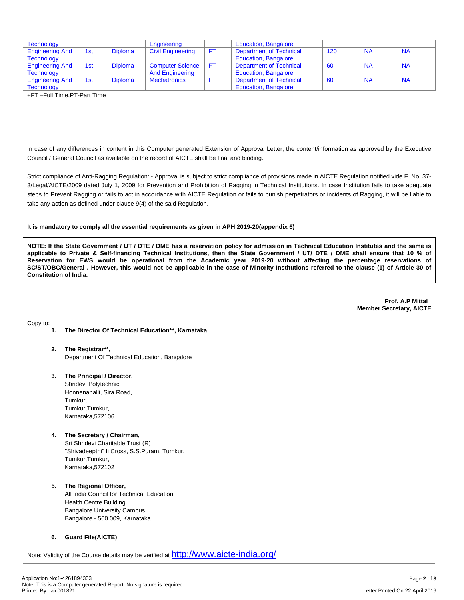| Technology             |     |                | Engineering              |           | <b>Education, Bangalore</b> |     |           |           |
|------------------------|-----|----------------|--------------------------|-----------|-----------------------------|-----|-----------|-----------|
| <b>Engineering And</b> | 1st | <b>Diploma</b> | <b>Civil Engineering</b> | <b>FT</b> | Department of Technical     | 120 | <b>NA</b> | <b>NA</b> |
| <b>Technology</b>      |     |                |                          |           | <b>Education, Bangalore</b> |     |           |           |
| <b>Engineering And</b> | 1st | <b>Diploma</b> | <b>Computer Science</b>  | FT.       | Department of Technical     | 60  | <b>NA</b> | <b>NA</b> |
| Technology             |     |                | <b>And Engineering</b>   |           | <b>Education, Bangalore</b> |     |           |           |
| <b>Engineering And</b> | 1st | <b>Diploma</b> | <b>Mechatronics</b>      | <b>FT</b> | Department of Technical     | 60  | <b>NA</b> | <b>NA</b> |
| <b>Technology</b>      |     |                |                          |           | <b>Education, Bangalore</b> |     |           |           |

+FT –Full Time,PT-Part Time

In case of any differences in content in this Computer generated Extension of Approval Letter, the content/information as approved by the Executive Council / General Council as available on the record of AICTE shall be final and binding.

Strict compliance of Anti-Ragging Regulation: - Approval is subject to strict compliance of provisions made in AICTE Regulation notified vide F. No. 37- 3/Legal/AICTE/2009 dated July 1, 2009 for Prevention and Prohibition of Ragging in Technical Institutions. In case Institution fails to take adequate steps to Prevent Ragging or fails to act in accordance with AICTE Regulation or fails to punish perpetrators or incidents of Ragging, it will be liable to take any action as defined under clause 9(4) of the said Regulation.

#### **It is mandatory to comply all the essential requirements as given in APH 2019-20(appendix 6)**

NOTE: If the State Government / UT / DTE / DME has a reservation policy for admission in Technical Education Institutes and the same is applicable to Private & Self-financing Technical Institutions, then the State Government / UT/ DTE / DME shall ensure that 10 % of Reservation for EWS would be operational from the Academic year 2019-20 without affecting the percentage reservations of SC/ST/OBC/General . However, this would not be applicable in the case of Minority Institutions referred to the clause (1) of Article 30 of **Constitution of India.**

> **Prof. A.P Mittal Member Secretary, AICTE**

Copy to:

- **1. The Director Of Technical Education\*\*, Karnataka**
- **2. The Registrar\*\*,** Department Of Technical Education, Bangalore
- **3. The Principal / Director,** Shridevi Polytechnic Honnenahalli, Sira Road, Tumkur, Tumkur,Tumkur, Karnataka,572106
- **4. The Secretary / Chairman,** Sri Shridevi Charitable Trust (R) "Shivadeepthi" Ii Cross, S.S.Puram, Tumkur. Tumkur, Tumkur, Karnataka,572102
- **5. The Regional Officer,** All India Council for Technical Education Health Centre Building Bangalore University Campus Bangalore - 560 009, Karnataka

## **6. Guard File(AICTE)**

Note: Validity of the Course details may be verified at <http://www.aicte-india.org/>